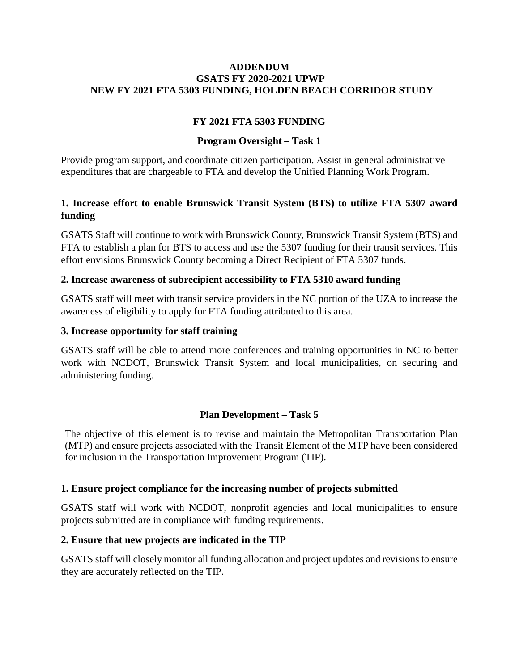#### **ADDENDUM GSATS FY 2020-2021 UPWP NEW FY 2021 FTA 5303 FUNDING, HOLDEN BEACH CORRIDOR STUDY**

# **FY 2021 FTA 5303 FUNDING**

# **Program Oversight – Task 1**

Provide program support, and coordinate citizen participation. Assist in general administrative expenditures that are chargeable to FTA and develop the Unified Planning Work Program.

# **1. Increase effort to enable Brunswick Transit System (BTS) to utilize FTA 5307 award funding**

GSATS Staff will continue to work with Brunswick County, Brunswick Transit System (BTS) and FTA to establish a plan for BTS to access and use the 5307 funding for their transit services. This effort envisions Brunswick County becoming a Direct Recipient of FTA 5307 funds.

### **2. Increase awareness of subrecipient accessibility to FTA 5310 award funding**

GSATS staff will meet with transit service providers in the NC portion of the UZA to increase the awareness of eligibility to apply for FTA funding attributed to this area.

### **3. Increase opportunity for staff training**

GSATS staff will be able to attend more conferences and training opportunities in NC to better work with NCDOT, Brunswick Transit System and local municipalities, on securing and administering funding.

## **Plan Development – Task 5**

The objective of this element is to revise and maintain the Metropolitan Transportation Plan (MTP) and ensure projects associated with the Transit Element of the MTP have been considered for inclusion in the Transportation Improvement Program (TIP).

#### **1. Ensure project compliance for the increasing number of projects submitted**

GSATS staff will work with NCDOT, nonprofit agencies and local municipalities to ensure projects submitted are in compliance with funding requirements.

#### **2. Ensure that new projects are indicated in the TIP**

GSATS staff will closely monitor all funding allocation and project updates and revisions to ensure they are accurately reflected on the TIP.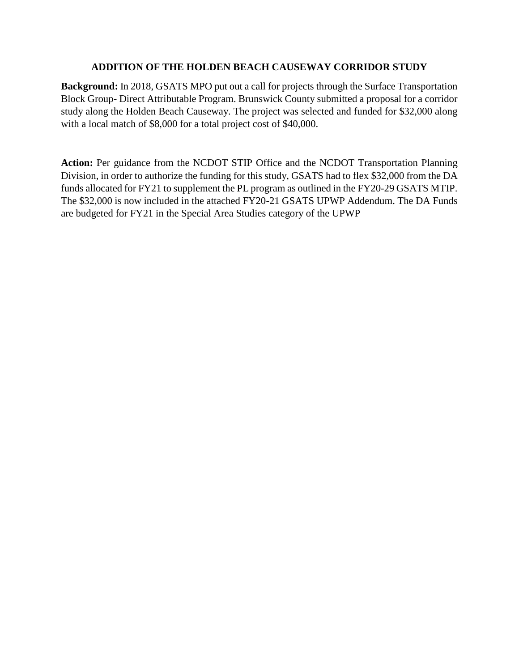## **ADDITION OF THE HOLDEN BEACH CAUSEWAY CORRIDOR STUDY**

**Background:** In 2018, GSATS MPO put out a call for projects through the Surface Transportation Block Group- Direct Attributable Program. Brunswick County submitted a proposal for a corridor study along the Holden Beach Causeway. The project was selected and funded for \$32,000 along with a local match of \$8,000 for a total project cost of \$40,000.

**Action:** Per guidance from the NCDOT STIP Office and the NCDOT Transportation Planning Division, in order to authorize the funding for this study, GSATS had to flex \$32,000 from the DA funds allocated for FY21 to supplement the PL program as outlined in the FY20-29 GSATS MTIP. The \$32,000 is now included in the attached FY20-21 GSATS UPWP Addendum. The DA Funds are budgeted for FY21 in the Special Area Studies category of the UPWP